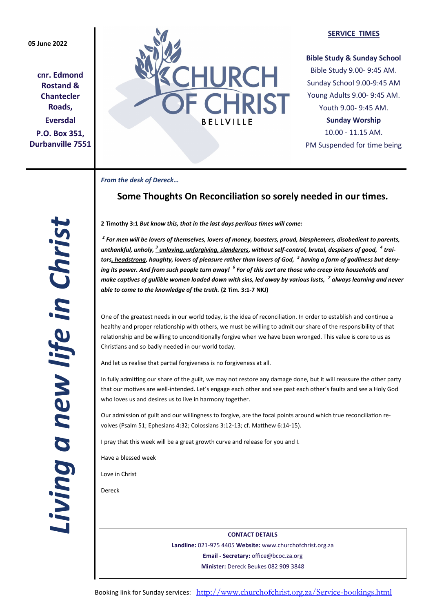## **05 June 2022**

**cnr. Edmond Rostand & Chantecler Roads, Eversdal P.O. Box 351, Durbanville 7551**



### **SERVICE TIMES**

## **Bible Study & Sunday School**

Bible Study 9.00- 9:45 AM. Sunday School 9.00-9:45 AM Young Adults 9.00- 9:45 AM. Youth 9.00- 9:45 AM.

## **Sunday Worship**

10.00 - 11.15 AM. PM Suspended for time being

*From the desk of Dereck…* 

# **Some Thoughts On Reconciliation so sorely needed in our times.**

*Living a new life in Christ*  Living a new life in Christ

**2 Timothy 3:1** *But know this, that in the last days perilous times will come:*

*2 For men will be lovers of themselves, lovers of money, boasters, proud, blasphemers, disobedient to parents,*  unthankful, unholy,  $^3$  <u>unloving, unforgiving, slanderers</u>, without self-control, brutal, despisers of good,  $\ ^4$  trai*tors, headstrong, haughty, lovers of pleasure rather than lovers of God, <sup>5</sup> having a form of godliness but denying its power. And from such people turn away! <sup>6</sup> For of this sort are those who creep into households and make captives of gullible women loaded down with sins, led away by various lusts, <sup>7</sup> always learning and never able to come to the knowledge of the truth.* **(2 Tim. 3:1-7 NKJ)**

One of the greatest needs in our world today, is the idea of reconciliation. In order to establish and continue a healthy and proper relationship with others, we must be willing to admit our share of the responsibility of that relationship and be willing to unconditionally forgive when we have been wronged. This value is core to us as Christians and so badly needed in our world today.

And let us realise that partial forgiveness is no forgiveness at all.

In fully admitting our share of the guilt, we may not restore any damage done, but it will reassure the other party that our motives are well-intended. Let's engage each other and see past each other's faults and see a Holy God who loves us and desires us to live in harmony together.

Our admission of guilt and our willingness to forgive, are the focal points around which true reconciliation revolves (Psalm 51; Ephesians 4:32; Colossians 3:12-13; cf. Matthew 6:14-15).

I pray that this week will be a great growth curve and release for you and I.

Have a blessed week

Love in Christ

Dereck

**CONTACT DETAILS Landline:** 021-975 4405 **Website:** www.churchofchrist.org.za **Email - Secretary:** office@bcoc.za.org **Minister:** Dereck Beukes 082 909 3848